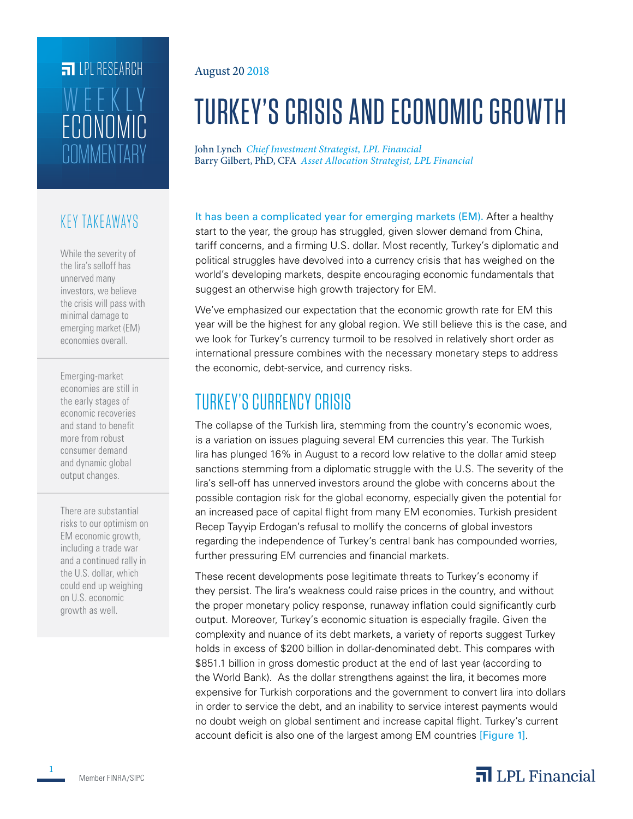# **FILLE** LPL RESEARCH **COMMENTARY** ECONOMIC WEEKLY

#### KEY TAKEAWAYS

While the severity of the lira's selloff has unnerved many investors, we believe the crisis will pass with minimal damage to emerging market (EM) economies overall.

Emerging-market economies are still in the early stages of economic recoveries and stand to benefit more from robust consumer demand and dynamic global output changes.

There are substantial risks to our optimism on EM economic growth, including a trade war and a continued rally in the U.S. dollar, which could end up weighing on U.S. economic growth as well.

#### August 20 2018

# TURKEY'S CRISIS AND ECONOMIC GROWTH

John Lynch *Chief Investment Strategist, LPL Financial* Barry Gilbert, PhD, CFA *Asset Allocation Strategist, LPL Financial*

It has been a complicated year for emerging markets (EM). After a healthy start to the year, the group has struggled, given slower demand from China, tariff concerns, and a firming U.S. dollar. Most recently, Turkey's diplomatic and political struggles have devolved into a currency crisis that has weighed on the world's developing markets, despite encouraging economic fundamentals that suggest an otherwise high growth trajectory for EM.

We've emphasized our expectation that the economic growth rate for EM this year will be the highest for any global region. We still believe this is the case, and we look for Turkey's currency turmoil to be resolved in relatively short order as international pressure combines with the necessary monetary steps to address the economic, debt-service, and currency risks.

# TURKEY'S CURRENCY CRISIS

The collapse of the Turkish lira, stemming from the country's economic woes, is a variation on issues plaguing several EM currencies this year. The Turkish lira has plunged 16% in August to a record low relative to the dollar amid steep sanctions stemming from a diplomatic struggle with the U.S. The severity of the lira's sell-off has unnerved investors around the globe with concerns about the possible contagion risk for the global economy, especially given the potential for an increased pace of capital flight from many EM economies. Turkish president Recep Tayyip Erdogan's refusal to mollify the concerns of global investors regarding the independence of Turkey's central bank has compounded worries, further pressuring EM currencies and financial markets.

These recent developments pose legitimate threats to Turkey's economy if they persist. The lira's weakness could raise prices in the country, and without the proper monetary policy response, runaway inflation could significantly curb output. Moreover, Turkey's economic situation is especially fragile. Given the complexity and nuance of its debt markets, a variety of reports suggest Turkey holds in excess of \$200 billion in dollar-denominated debt. This compares with \$851.1 billion in gross domestic product at the end of last year (according to the World Bank). As the dollar strengthens against the lira, it becomes more expensive for Turkish corporations and the government to convert lira into dollars in order to service the debt, and an inability to service interest payments would no doubt weigh on global sentiment and increase capital flight. Turkey's current account deficit is also one of the largest among EM countries [Figure 1].

### $\overline{\mathbf{a}}$  LPL Financial

**1**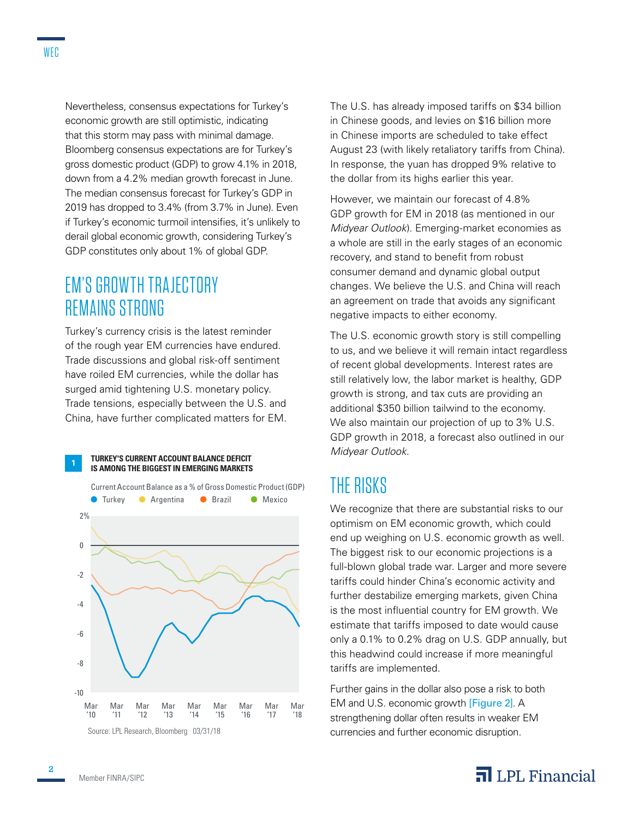Nevertheless, consensus expectations for Turkey's economic growth are still optimistic, indicating that this storm may pass with minimal damage. Bloomberg consensus expectations are for Turkey's gross domestic product (GDP) to grow 4.1% in 2018, down from a 4.2% median growth forecast in June. The median consensus forecast for Turkey's GDP in 2019 has dropped to 3.4% (from 3.7% in June). Even if Turkey's economic turmoil intensifies, it's unlikely to derail global economic growth, considering Turkey's GDP constitutes only about 1% of global GDP.

### EM'S GROWTH TRAJECTORY REMAINS STRONG

Turkey's currency crisis is the latest reminder of the rough year EM currencies have endured. Trade discussions and global risk-off sentiment have roiled EM currencies, while the dollar has surged amid tightening U.S. monetary policy. Trade tensions, especially between the U.S. and China, have further complicated matters for EM.



The U.S. has already imposed tariffs on \$34 billion in Chinese goods, and levies on \$16 billion more in Chinese imports are scheduled to take effect August 23 (with likely retaliatory tariffs from China). In response, the yuan has dropped 9% relative to the dollar from its highs earlier this year.

However, we maintain our forecast of 4.8% GDP growth for EM in 2018 (as mentioned in our *Midyear Outlook*). Emerging-market economies as a whole are still in the early stages of an economic recovery, and stand to benefit from robust consumer demand and dynamic global output changes. We believe the U.S. and China will reach an agreement on trade that avoids any significant negative impacts to either economy.

The U.S. economic growth story is still compelling to us, and we believe it will remain intact regardless of recent global developments. Interest rates are still relatively low, the labor market is healthy, GDP growth is strong, and tax cuts are providing an additional \$350 billion tailwind to the economy. We also maintain our projection of up to 3% U.S. GDP growth in 2018, a forecast also outlined in our *Midyear Outlook*.

## THE RISKS

We recognize that there are substantial risks to our optimism on EM economic growth, which could end up weighing on U.S. economic growth as well. The biggest risk to our economic projections is a full-blown global trade war. Larger and more severe tariffs could hinder China's economic activity and further destabilize emerging markets, given China is the most influential country for EM growth. We estimate that tariffs imposed to date would cause only a 0.1% to 0.2% drag on U.S. GDP annually, but this headwind could increase if more meaningful tariffs are implemented.

Further gains in the dollar also pose a risk to both EM and U.S. economic growth [Figure 2]. A strengthening dollar often results in weaker EM currencies and further economic disruption.

### $\overline{\mathbf{a}}$  LPL Financial

Mar '11

Mar '12

Source: LPL Research, Bloomberg 03/31/18

Mar '13 Mar '14

Mar '15

Mar '16

Mar '17

Mar '18

Mar '10

**2**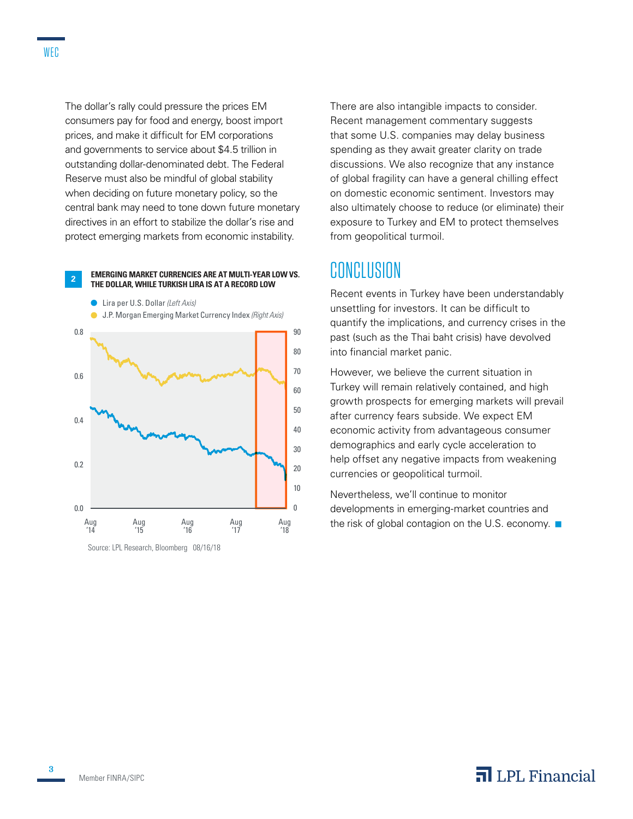The dollar's rally could pressure the prices EM consumers pay for food and energy, boost import prices, and make it difficult for EM corporations and governments to service about \$4.5 trillion in outstanding dollar-denominated debt. The Federal Reserve must also be mindful of global stability when deciding on future monetary policy, so the central bank may need to tone down future monetary directives in an effort to stabilize the dollar's rise and

protect emerging markets from economic instability.



Source: LPL Research, Bloomberg 08/16/18

There are also intangible impacts to consider. Recent management commentary suggests that some U.S. companies may delay business spending as they await greater clarity on trade discussions. We also recognize that any instance of global fragility can have a general chilling effect on domestic economic sentiment. Investors may also ultimately choose to reduce (or eliminate) their exposure to Turkey and EM to protect themselves from geopolitical turmoil.

#### CONCLUSION

Recent events in Turkey have been understandably unsettling for investors. It can be difficult to quantify the implications, and currency crises in the past (such as the Thai baht crisis) have devolved into financial market panic.

However, we believe the current situation in Turkey will remain relatively contained, and high growth prospects for emerging markets will prevail after currency fears subside. We expect EM economic activity from advantageous consumer demographics and early cycle acceleration to help offset any negative impacts from weakening currencies or geopolitical turmoil.

Nevertheless, we'll continue to monitor developments in emerging-market countries and the risk of global contagion on the U.S. economy.  $\blacksquare$ 

**3**

#### $\overline{\mathbf{a}}$  LPL Financial